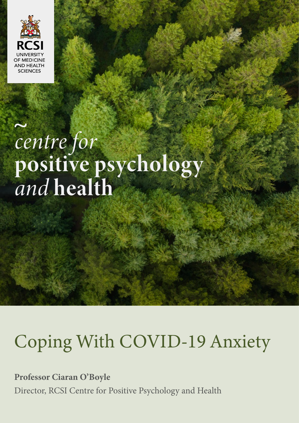

# centre for<br>positive psychology<br>and health

RCSI Centre for Positive Psychology and Health

# Coping With COVID-19 Anxiety

**1**

**Professor Ciaran O'Boyle**

Director, RCSI Centre for Positive Psychology and Health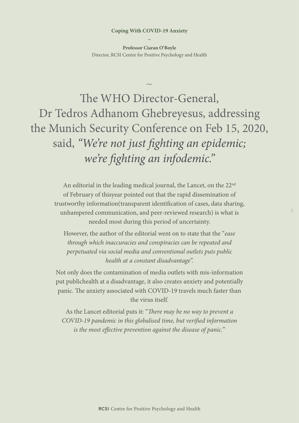**Professor Ciaran O'Boyle** Director, RCSI Centre for Positive Psychology and Health

 $\sim$ 

The WHO Director-General, Dr Tedros Adhanom Ghebreyesus, addressing the Munich Security Conference on Feb 15, 2020, said, *"We're not just fighting an epidemic; we're fighting an infodemic."*

An editorial in the leading medical journal, the Lancet, on the 22<sup>nd</sup> of February of thisyear pointed out that the rapid dissemination of trustworthy information(transparent identification of cases, data sharing, unhampered communication, and peer-reviewed research) is what is needed most during this period of uncertainty.

However, the author of the editorial went on to state that the "*ease through which inaccuracies and conspiracies can be repeated and perpetuated via social media and conventional outlets puts public health at a constant disadvantage*".

Not only does the contamination of media outlets with mis-information put publichealth at a disadvantage, it also creates anxiety and potentially panic. The anxiety associated with COVID-19 travels much faster than the virus itself.

As the Lancet editorial puts it: "*There may be no way to prevent a COVID-19 pandemic in this globalised time, but verified information is the most effective prevention against the disease of panic.*"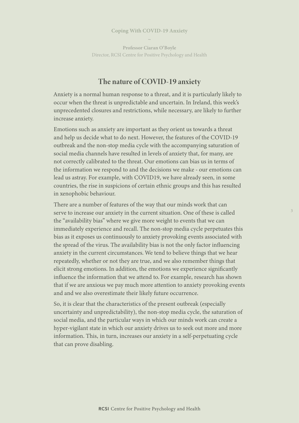**Professor Ciaran O'Boyle** Director, RCSI Centre for Positive Psychology and Health

# The nature of COVID-19 anxiety

Anxiety is a normal human response to a threat, and it is particularly likely to occur when the threat is unpredictable and uncertain. In Ireland, this week's unprecedented closures and restrictions, while necessary, are likely to further increase anxiety.

Emotions such as anxiety are important as they orient us towards a threat and help us decide what to do next. However, the features of the COVID-19 outbreak and the non-stop media cycle with the accompanying saturation of social media channels have resulted in levels of anxiety that, for many, are not correctly calibrated to the threat. Our emotions can bias us in terms of the information we respond to and the decisions we make - our emotions can lead us astray. For example, with COVID19, we have already seen, in some countries, the rise in suspicions of certain ethnic groups and this has resulted in xenophobic behaviour.

There are a number of features of the way that our minds work that can serve to increase our anxiety in the current situation. One of these is called the "availability bias" where we give more weight to events that we can immediately experience and recall. The non-stop media cycle perpetuates this bias as it exposes us continuously to anxiety provoking events associated with the spread of the virus. The availability bias is not the only factor influencing anxiety in the current circumstances. We tend to believe things that we hear repeatedly, whether or not they are true, and we also remember things that elicit strong emotions. In addition, the emotions we experience significantly influence the information that we attend to. For example, research has shown that if we are anxious we pay much more attention to anxiety provoking events and and we also overestimate their likely future occurrence.

So, it is clear that the characteristics of the present outbreak (especially uncertainty and unpredictability), the non-stop media cycle, the saturation of social media, and the particular ways in which our minds work can create a hyper-vigilant state in which our anxiety drives us to seek out more and more information. This, in turn, increases our anxiety in a self-perpetuating cycle that can prove disabling.

**3**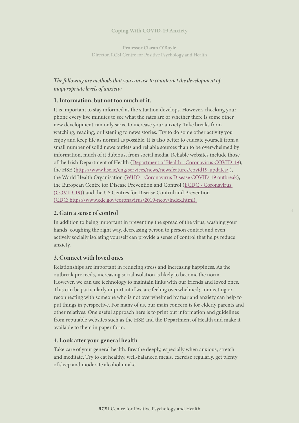**Professor Ciaran O'Boyle** Director, RCSI Centre for Positive Psychology and Health

# *The following are methods that you can use to counteract the development of inappropriate levels of anxiety:*

#### 1. Information, but not too much of it.

It is important to stay informed as the situation develops. However, checking your phone every five minutes to see what the rates are or whether there is some other new development can only serve to increase your anxiety. Take breaks from watching, reading, or listening to news stories. Try to do some other activity you enjoy and keep life as normal as possible. It is also better to educate yourself from a small number of solid news outlets and reliable sources than to be overwhelmed by information, much of it dubious, from social media. Reliable websites include those of the Irish Department of Health ([Department of Health - Coronavirus COVID-19](https://www.gov.ie/en/campaigns/c36c85-covid-19-coronavirus/)), the HSE (<https://www.hse.ie/eng/services/news/newsfeatures/covid19-updates/> ), the World Health Organisation ([WHO - Coronavirus Disease COVID-19 outbreak](https://www.who.int/emergencies/diseases/novel-coronavirus-2019)), the European Centre for Disease Prevention and Control ([ECDC - Coronavirus](https://www.ecdc.europa.eu/en/novel-coronavirus-china)  [\(COVID-19\)](https://www.ecdc.europa.eu/en/novel-coronavirus-china)) and the US Centres for Disease Control and Prevention ([CDC: https://www.cdc.gov/coronavirus/2019-ncov/index.html\)](https://www.cdc.gov/coronavirus/2019-ncov/index.html).

#### 2. Gain a sense of control

In addition to being important in preventing the spread of the virus, washing your hands, coughing the right way, decreasing person to person contact and even actively socially isolating yourself can provide a sense of control that helps reduce anxiety.

**4**

#### 3. Connect with loved ones

Relationships are important in reducing stress and increasing happiness. As the outbreak proceeds, increasing social isolation is likely to become the norm. However, we can use technology to maintain links with our friends and loved ones. This can be particularly important if we are feeling overwhelmed; connecting or reconnecting with someone who is not overwhelmed by fear and anxiety can help to put things in perspective. For many of us, our main concern is for elderly parents and other relatives. One useful approach here is to print out information and guidelines from reputable websites such as the HSE and the Department of Health and make it available to them in paper form.

#### 4. Look after your general health

Take care of your general health. Breathe deeply, especially when anxious, stretch and meditate. Try to eat healthy, well-balanced meals, exercise regularly, get plenty of sleep and moderate alcohol intake.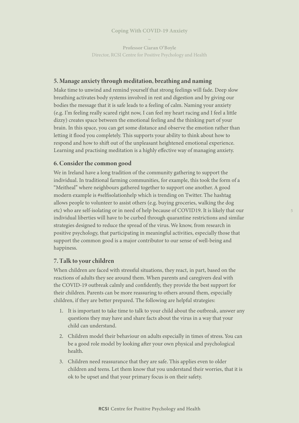**Professor Ciaran O'Boyle** Director, RCSI Centre for Positive Psychology and Health

#### 5. Manage anxiety through meditation, breathing and naming

Make time to unwind and remind yourself that strong feelings will fade. Deep slow breathing activates body systems involved in rest and digestion and by giving our bodies the message that it is safe leads to a feeling of calm. Naming your anxiety (e.g. I'm feeling really scared right now, I can feel my heart racing and I feel a little dizzy) creates space between the emotional feeling and the thinking part of your brain. In this space, you can get some distance and observe the emotion rather than letting it flood you completely. This supports your ability to think about how to respond and how to shift out of the unpleasant heightened emotional experience. Learning and practising meditation is a highly effective way of managing anxiety.

#### 6. Consider the common good

We in Ireland have a long tradition of the community gathering to support the individual. In traditional farming communities, for example, this took the form of a "Meitheal" where neighbours gathered together to support one another. A good modern example is #selfisolationhelp which is trending on Twitter. The hashtag allows people to volunteer to assist others (e.g. buying groceries, walking the dog etc) who are self-isolating or in need of help because of COVID19. It is likely that our individual liberties will have to be curbed through quarantine restrictions and similar strategies designed to reduce the spread of the virus. We know, from research in positive psychology, that participating in meaningful activities, especially those that support the common good is a major contributor to our sense of well-being and happiness.

#### 7. Talk to your children

When children are faced with stressful situations, they react, in part, based on the reactions of adults they see around them. When parents and caregivers deal with the COVID-19 outbreak calmly and confidently, they provide the best support for their children. Parents can be more reassuring to others around them, especially children, if they are better prepared. The following are helpful strategies:

- 1. It is important to take time to talk to your child about the outbreak, answer any questions they may have and share facts about the virus in a way that your child can understand.
- 2. Children model their behaviour on adults especially in times of stress. You can be a good role model by looking after your own physical and psychological health.
- 3. Children need reassurance that they are safe. This applies even to older children and teens. Let them know that you understand their worries, that it is ok to be upset and that your primary focus is on their safety.